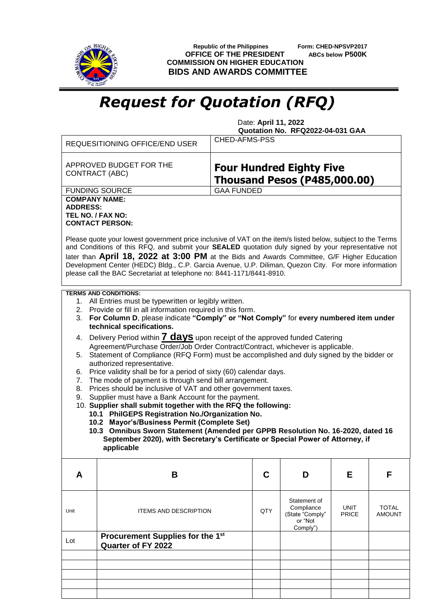

 **Republic of the Philippines Form: CHED-NPSVP2017 OFFICE OF THE PRESIDENT ABCs below P500K COMMISSION ON HIGHER EDUCATION BIDS AND AWARDS COMMITTEE**

## *Request for Quotation (RFQ)*

 Date: **April 11, 2022 Quotation No. RFQ2022-04-031 GAA**

|                                                                                                                                                                                                                                                                                                                                                                                                                                                                                                    | <b>REQUESITIONING OFFICE/END USER</b>                                     | CHED-AFMS-PSS                                                          |                                                                      |                      |                               |  |  |  |
|----------------------------------------------------------------------------------------------------------------------------------------------------------------------------------------------------------------------------------------------------------------------------------------------------------------------------------------------------------------------------------------------------------------------------------------------------------------------------------------------------|---------------------------------------------------------------------------|------------------------------------------------------------------------|----------------------------------------------------------------------|----------------------|-------------------------------|--|--|--|
|                                                                                                                                                                                                                                                                                                                                                                                                                                                                                                    | APPROVED BUDGET FOR THE<br><b>CONTRACT (ABC)</b>                          | <b>Four Hundred Eighty Five</b><br><b>Thousand Pesos (P485,000.00)</b> |                                                                      |                      |                               |  |  |  |
|                                                                                                                                                                                                                                                                                                                                                                                                                                                                                                    | <b>FUNDING SOURCE</b>                                                     | <b>GAA FUNDED</b>                                                      |                                                                      |                      |                               |  |  |  |
| <b>COMPANY NAME:</b><br><b>ADDRESS:</b>                                                                                                                                                                                                                                                                                                                                                                                                                                                            | TEL NO. / FAX NO:<br><b>CONTACT PERSON:</b>                               |                                                                        |                                                                      |                      |                               |  |  |  |
| Please quote your lowest government price inclusive of VAT on the item/s listed below, subject to the Terms<br>and Conditions of this RFQ, and submit your SEALED quotation duly signed by your representative not<br>later than April 18, 2022 at 3:00 PM at the Bids and Awards Committee, G/F Higher Education<br>Development Center (HEDC) Bldg., C.P. Garcia Avenue, U.P. Diliman, Quezon City. For more information<br>please call the BAC Secretariat at telephone no: 8441-1171/8441-8910. |                                                                           |                                                                        |                                                                      |                      |                               |  |  |  |
| <b>TERMS AND CONDITIONS:</b><br>1. All Entries must be typewritten or legibly written.<br>2. Provide or fill in all information required in this form.                                                                                                                                                                                                                                                                                                                                             |                                                                           |                                                                        |                                                                      |                      |                               |  |  |  |
| For Column D, please indicate "Comply" or "Not Comply" for every numbered item under<br>3.<br>technical specifications.                                                                                                                                                                                                                                                                                                                                                                            |                                                                           |                                                                        |                                                                      |                      |                               |  |  |  |
| 4. Delivery Period within <b>7 days</b> upon receipt of the approved funded Catering<br>Agreement/Purchase Order/Job Order Contract/Contract, whichever is applicable.                                                                                                                                                                                                                                                                                                                             |                                                                           |                                                                        |                                                                      |                      |                               |  |  |  |
| 5. Statement of Compliance (RFQ Form) must be accomplished and duly signed by the bidder or<br>authorized representative.                                                                                                                                                                                                                                                                                                                                                                          |                                                                           |                                                                        |                                                                      |                      |                               |  |  |  |
| Price validity shall be for a period of sixty (60) calendar days.<br>6.                                                                                                                                                                                                                                                                                                                                                                                                                            |                                                                           |                                                                        |                                                                      |                      |                               |  |  |  |
| The mode of payment is through send bill arrangement.<br>7.<br>Prices should be inclusive of VAT and other government taxes.<br>8.                                                                                                                                                                                                                                                                                                                                                                 |                                                                           |                                                                        |                                                                      |                      |                               |  |  |  |
| Supplier must have a Bank Account for the payment.<br>9.<br>10. Supplier shall submit together with the RFQ the following:                                                                                                                                                                                                                                                                                                                                                                         |                                                                           |                                                                        |                                                                      |                      |                               |  |  |  |
|                                                                                                                                                                                                                                                                                                                                                                                                                                                                                                    | 10.1 PhilGEPS Registration No./Organization No.                           |                                                                        |                                                                      |                      |                               |  |  |  |
|                                                                                                                                                                                                                                                                                                                                                                                                                                                                                                    | 10.2 Mayor's/Business Permit (Complete Set)                               |                                                                        |                                                                      |                      |                               |  |  |  |
| 10.3 Omnibus Sworn Statement (Amended per GPPB Resolution No. 16-2020, dated 16<br>September 2020), with Secretary's Certificate or Special Power of Attorney, if<br>applicable                                                                                                                                                                                                                                                                                                                    |                                                                           |                                                                        |                                                                      |                      |                               |  |  |  |
|                                                                                                                                                                                                                                                                                                                                                                                                                                                                                                    |                                                                           |                                                                        |                                                                      |                      |                               |  |  |  |
| A                                                                                                                                                                                                                                                                                                                                                                                                                                                                                                  | В                                                                         | C                                                                      | D                                                                    | Е                    | F                             |  |  |  |
| Unit                                                                                                                                                                                                                                                                                                                                                                                                                                                                                               | <b>ITEMS AND DESCRIPTION</b>                                              | QTY                                                                    | Statement of<br>Compliance<br>(State "Comply"<br>or "Not<br>Comply") | UNIT<br><b>PRICE</b> | <b>TOTAL</b><br><b>AMOUNT</b> |  |  |  |
| Lot                                                                                                                                                                                                                                                                                                                                                                                                                                                                                                | Procurement Supplies for the 1 <sup>st</sup><br><b>Quarter of FY 2022</b> |                                                                        |                                                                      |                      |                               |  |  |  |
|                                                                                                                                                                                                                                                                                                                                                                                                                                                                                                    |                                                                           |                                                                        |                                                                      |                      |                               |  |  |  |
|                                                                                                                                                                                                                                                                                                                                                                                                                                                                                                    |                                                                           |                                                                        |                                                                      |                      |                               |  |  |  |
|                                                                                                                                                                                                                                                                                                                                                                                                                                                                                                    |                                                                           |                                                                        |                                                                      |                      |                               |  |  |  |
|                                                                                                                                                                                                                                                                                                                                                                                                                                                                                                    |                                                                           |                                                                        |                                                                      |                      |                               |  |  |  |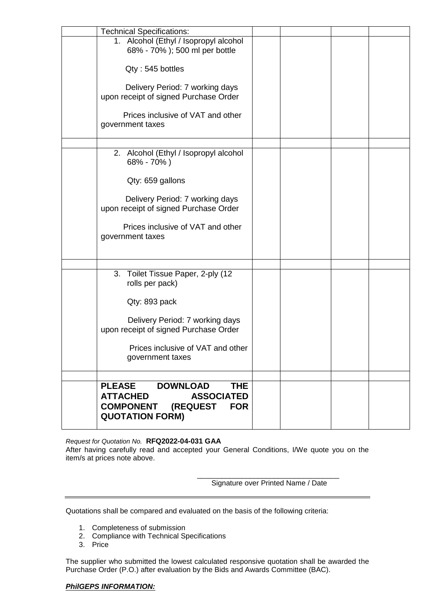| <b>Technical Specifications:</b>                                                                                                                               |  |  |
|----------------------------------------------------------------------------------------------------------------------------------------------------------------|--|--|
| 1. Alcohol (Ethyl / Isopropyl alcohol<br>68% - 70%); 500 ml per bottle                                                                                         |  |  |
| Qty: 545 bottles                                                                                                                                               |  |  |
| Delivery Period: 7 working days<br>upon receipt of signed Purchase Order                                                                                       |  |  |
| Prices inclusive of VAT and other<br>government taxes                                                                                                          |  |  |
| 2. Alcohol (Ethyl / Isopropyl alcohol<br>68% - 70%)                                                                                                            |  |  |
| Qty: 659 gallons                                                                                                                                               |  |  |
| Delivery Period: 7 working days<br>upon receipt of signed Purchase Order                                                                                       |  |  |
| Prices inclusive of VAT and other<br>government taxes                                                                                                          |  |  |
|                                                                                                                                                                |  |  |
| 3.<br>Toilet Tissue Paper, 2-ply (12<br>rolls per pack)                                                                                                        |  |  |
| Qty: 893 pack                                                                                                                                                  |  |  |
| Delivery Period: 7 working days<br>upon receipt of signed Purchase Order                                                                                       |  |  |
| Prices inclusive of VAT and other<br>government taxes                                                                                                          |  |  |
|                                                                                                                                                                |  |  |
| <b>PLEASE</b><br><b>DOWNLOAD</b><br>THE<br><b>ATTACHED</b><br><b>ASSOCIATED</b><br><b>COMPONENT</b><br><b>(REQUEST</b><br><b>FOR</b><br><b>QUOTATION FORM)</b> |  |  |

*Request for Quotation No.* **RFQ2022-04-031 GAA**

After having carefully read and accepted your General Conditions, I/We quote you on the item/s at prices note above.

> \_\_\_\_\_\_\_\_\_\_\_\_\_\_\_\_\_\_\_\_\_\_\_\_\_\_\_\_\_\_\_\_\_\_\_ Signature over Printed Name / Date

Quotations shall be compared and evaluated on the basis of the following criteria:

- 1. Completeness of submission
- 2. Compliance with Technical Specifications
- 3. Price

The supplier who submitted the lowest calculated responsive quotation shall be awarded the Purchase Order (P.O.) after evaluation by the Bids and Awards Committee (BAC).

## *PhilGEPS INFORMATION:*